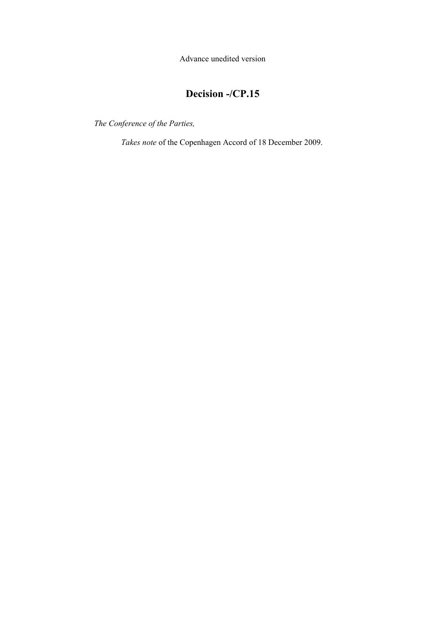Advance unedited version

## **Decision -/CP.15**

*The Conference of the Parties,* 

 *Takes note* of the Copenhagen Accord of 18 December 2009.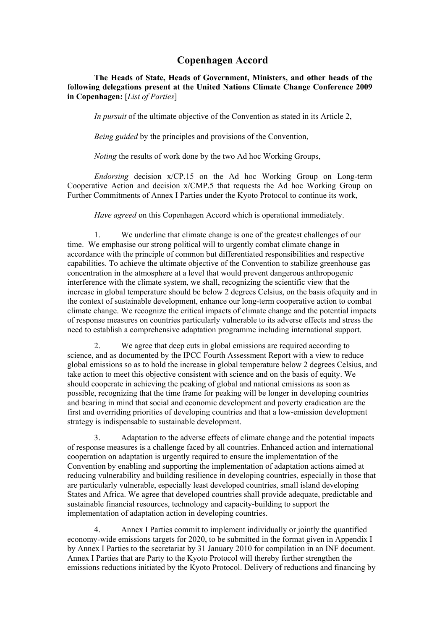#### **Copenhagen Accord**

**The Heads of State, Heads of Government, Ministers, and other heads of the following delegations present at the United Nations Climate Change Conference 2009 in Copenhagen:** [*List of Parties*]

*In pursuit* of the ultimate objective of the Convention as stated in its Article 2,

*Being guided* by the principles and provisions of the Convention,

*Noting* the results of work done by the two Ad hoc Working Groups,

*Endorsing* decision x/CP.15 on the Ad hoc Working Group on Long-term Cooperative Action and decision x/CMP.5 that requests the Ad hoc Working Group on Further Commitments of Annex I Parties under the Kyoto Protocol to continue its work,

*Have agreed* on this Copenhagen Accord which is operational immediately.

1. We underline that climate change is one of the greatest challenges of our time. We emphasise our strong political will to urgently combat climate change in accordance with the principle of common but differentiated responsibilities and respective capabilities. To achieve the ultimate objective of the Convention to stabilize greenhouse gas concentration in the atmosphere at a level that would prevent dangerous anthropogenic interference with the climate system, we shall, recognizing the scientific view that the increase in global temperature should be below 2 degrees Celsius, on the basis ofequity and in the context of sustainable development, enhance our long-term cooperative action to combat climate change. We recognize the critical impacts of climate change and the potential impacts of response measures on countries particularly vulnerable to its adverse effects and stress the need to establish a comprehensive adaptation programme including international support.

2. We agree that deep cuts in global emissions are required according to science, and as documented by the IPCC Fourth Assessment Report with a view to reduce global emissions so as to hold the increase in global temperature below 2 degrees Celsius, and take action to meet this objective consistent with science and on the basis of equity. We should cooperate in achieving the peaking of global and national emissions as soon as possible, recognizing that the time frame for peaking will be longer in developing countries and bearing in mind that social and economic development and poverty eradication are the first and overriding priorities of developing countries and that a low-emission development strategy is indispensable to sustainable development.

3. Adaptation to the adverse effects of climate change and the potential impacts of response measures is a challenge faced by all countries. Enhanced action and international cooperation on adaptation is urgently required to ensure the implementation of the Convention by enabling and supporting the implementation of adaptation actions aimed at reducing vulnerability and building resilience in developing countries, especially in those that are particularly vulnerable, especially least developed countries, small island developing States and Africa. We agree that developed countries shall provide adequate, predictable and sustainable financial resources, technology and capacity-building to support the implementation of adaptation action in developing countries.

4. Annex I Parties commit to implement individually or jointly the quantified economy-wide emissions targets for 2020, to be submitted in the format given in Appendix I by Annex I Parties to the secretariat by 31 January 2010 for compilation in an INF document. Annex I Parties that are Party to the Kyoto Protocol will thereby further strengthen the emissions reductions initiated by the Kyoto Protocol. Delivery of reductions and financing by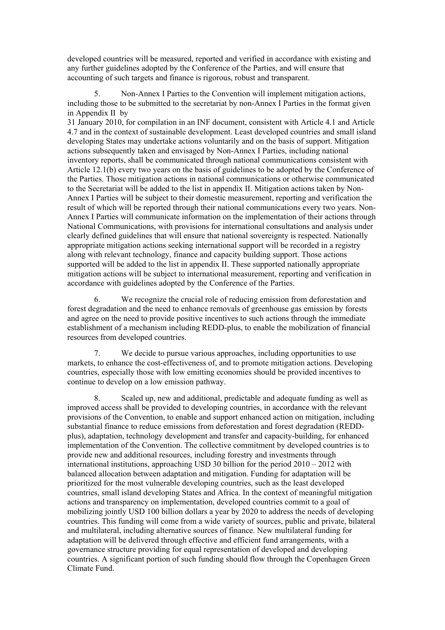developed countries will be measured, reported and verified in accordance with existing and any further guidelines adopted by the Conference of the Parties, and will ensure that accounting of such targets and finance is rigorous, robust and transparent.

5. Non-Annex I Parties to the Convention will implement mitigation actions, including those to be submitted to the secretariat by non-Annex I Parties in the format given in Appendix II by

31 January 2010, for compilation in an INF document, consistent with Article 4.1 and Article 4.7 and in the context of sustainable development. Least developed countries and small island developing States may undertake actions voluntarily and on the basis of support. Mitigation actions subsequently taken and envisaged by Non-Annex I Parties, including national inventory reports, shall be communicated through national communications consistent with Article 12.1(b) every two years on the basis of guidelines to be adopted by the Conference of the Parties. Those mitigation actions in national communications or otherwise communicated to the Secretariat will be added to the list in appendix II. Mitigation actions taken by Non-Annex I Parties will be subject to their domestic measurement, reporting and verification the result of which will be reported through their national communications every two years. Non-Annex I Parties will communicate information on the implementation of their actions through National Communications, with provisions for international consultations and analysis under clearly defined guidelines that will ensure that national sovereignty is respected. Nationally appropriate mitigation actions seeking international support will be recorded in a registry along with relevant technology, finance and capacity building support. Those actions supported will be added to the list in appendix II. These supported nationally appropriate mitigation actions will be subject to international measurement, reporting and verification in accordance with guidelines adopted by the Conference of the Parties.

6. We recognize the crucial role of reducing emission from deforestation and forest degradation and the need to enhance removals of greenhouse gas emission by forests and agree on the need to provide positive incentives to such actions through the immediate establishment of a mechanism including REDD-plus, to enable the mobilization of financial resources from developed countries.

7. We decide to pursue various approaches, including opportunities to use markets, to enhance the cost-effectiveness of, and to promote mitigation actions. Developing countries, especially those with low emitting economies should be provided incentives to continue to develop on a low emission pathway.

8. Scaled up, new and additional, predictable and adequate funding as well as improved access shall be provided to developing countries, in accordance with the relevant provisions of the Convention, to enable and support enhanced action on mitigation, including substantial finance to reduce emissions from deforestation and forest degradation (REDDplus), adaptation, technology development and transfer and capacity-building, for enhanced implementation of the Convention. The collective commitment by developed countries is to provide new and additional resources, including forestry and investments through international institutions, approaching USD 30 billion for the period  $2010 - 2012$  with balanced allocation between adaptation and mitigation. Funding for adaptation will be prioritized for the most vulnerable developing countries, such as the least developed countries, small island developing States and Africa. In the context of meaningful mitigation actions and transparency on implementation, developed countries commit to a goal of mobilizing jointly USD 100 billion dollars a year by 2020 to address the needs of developing countries. This funding will come from a wide variety of sources, public and private, bilateral and multilateral, including alternative sources of finance. New multilateral funding for adaptation will be delivered through effective and efficient fund arrangements, with a governance structure providing for equal representation of developed and developing countries. A significant portion of such funding should flow through the Copenhagen Green Climate Fund.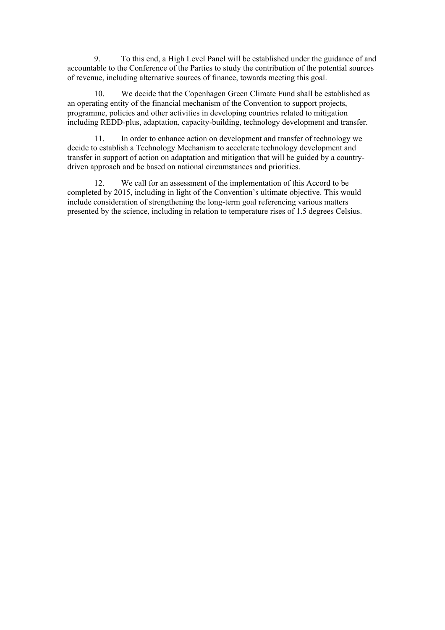9. To this end, a High Level Panel will be established under the guidance of and accountable to the Conference of the Parties to study the contribution of the potential sources of revenue, including alternative sources of finance, towards meeting this goal.

10. We decide that the Copenhagen Green Climate Fund shall be established as an operating entity of the financial mechanism of the Convention to support projects, programme, policies and other activities in developing countries related to mitigation including REDD-plus, adaptation, capacity-building, technology development and transfer.

11. In order to enhance action on development and transfer of technology we decide to establish a Technology Mechanism to accelerate technology development and transfer in support of action on adaptation and mitigation that will be guided by a countrydriven approach and be based on national circumstances and priorities.

12. We call for an assessment of the implementation of this Accord to be completed by 2015, including in light of the Convention's ultimate objective. This would include consideration of strengthening the long-term goal referencing various matters presented by the science, including in relation to temperature rises of 1.5 degrees Celsius.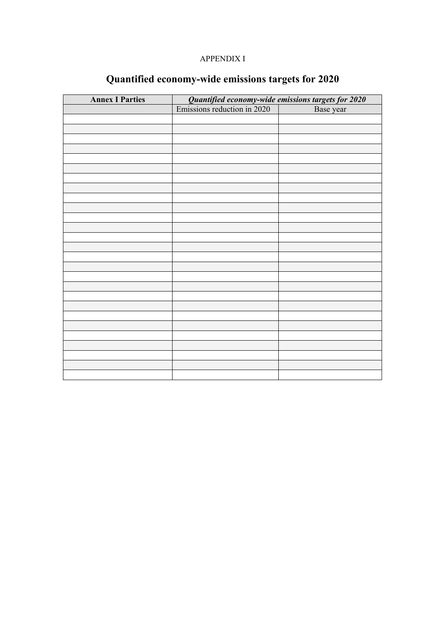### APPENDIX I

| <b>Annex I Parties</b> | Quantified economy-wide emissions targets for 2020 |           |
|------------------------|----------------------------------------------------|-----------|
|                        | Emissions reduction in 2020                        | Base year |
|                        |                                                    |           |
|                        |                                                    |           |
|                        |                                                    |           |
|                        |                                                    |           |
|                        |                                                    |           |
|                        |                                                    |           |
|                        |                                                    |           |
|                        |                                                    |           |
|                        |                                                    |           |
|                        |                                                    |           |
|                        |                                                    |           |
|                        |                                                    |           |
|                        |                                                    |           |
|                        |                                                    |           |
|                        |                                                    |           |
|                        |                                                    |           |
|                        |                                                    |           |
|                        |                                                    |           |
|                        |                                                    |           |
|                        |                                                    |           |
|                        |                                                    |           |
|                        |                                                    |           |
|                        |                                                    |           |
|                        |                                                    |           |
|                        |                                                    |           |
|                        |                                                    |           |
|                        |                                                    |           |

# **Quantified economy-wide emissions targets for 2020**